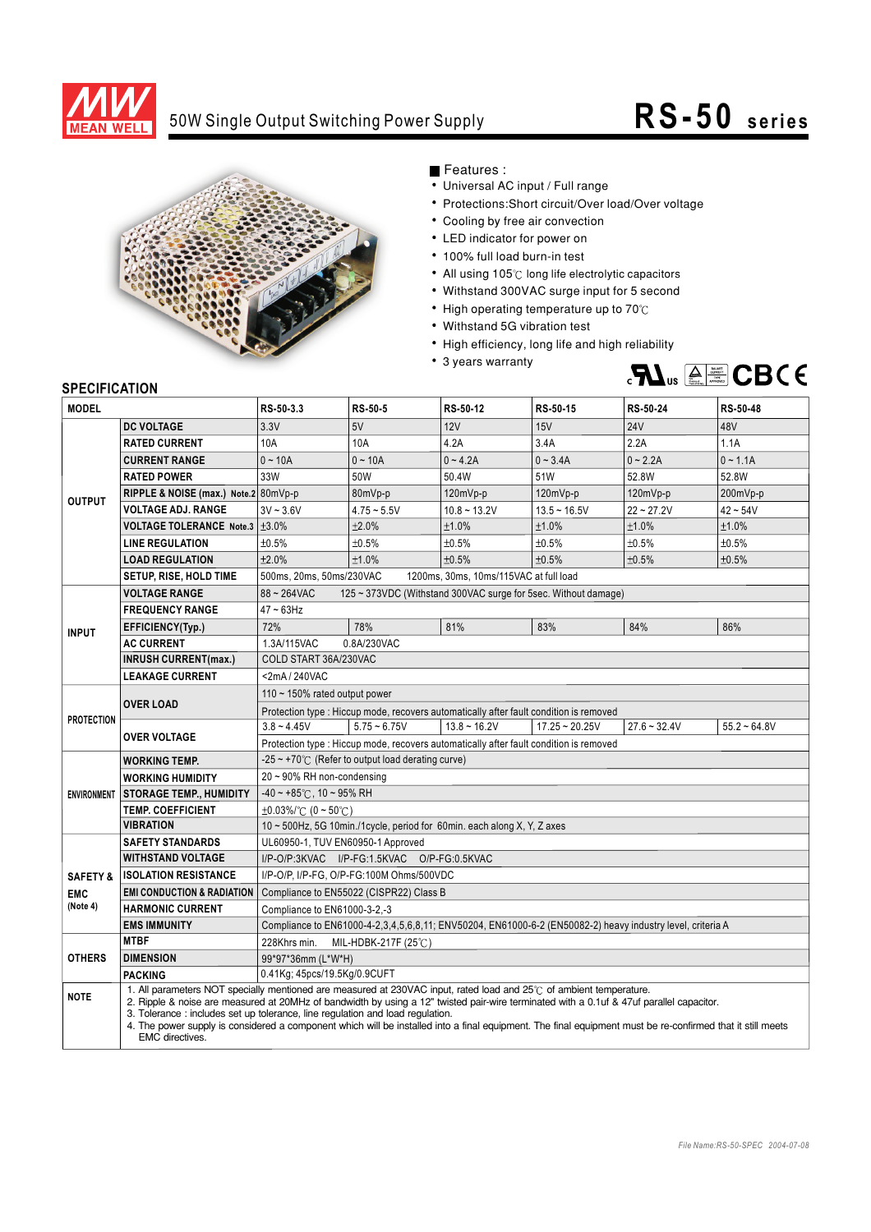

## 50W Single Output Switching Power Supply

## **R S -50 s e r i e s**



Features :

- Universal AC input / Full range
- Protections: Short circuit/Over load/Over voltage
- Cooling by free air convection
- LED indicator for power on
- 100% full load burn-in test
- All using 105°C long life electrolytic capacitors
- Withstand 300VAC surge input for 5 second
- High operating temperature up to  $70^{\circ}$ C
- Withstand 5G vibration test
- High efficiency, long life and high reliability
- 3 years warranty



## **SPECIFICATION**

| <b>MODEL</b>                                  |                                                                                                                                                                                                                                                                                                                                                                                                                                                                                                                                          | RS-50-3.3                                                                                                  | <b>RS-50-5</b> | RS-50-12       | RS-50-15         | RS-50-24       | RS-50-48       |
|-----------------------------------------------|------------------------------------------------------------------------------------------------------------------------------------------------------------------------------------------------------------------------------------------------------------------------------------------------------------------------------------------------------------------------------------------------------------------------------------------------------------------------------------------------------------------------------------------|------------------------------------------------------------------------------------------------------------|----------------|----------------|------------------|----------------|----------------|
| <b>OUTPUT</b>                                 | <b>DC VOLTAGE</b>                                                                                                                                                                                                                                                                                                                                                                                                                                                                                                                        | 3.3V                                                                                                       | 5V             | 12V            | 15V              | <b>24V</b>     | 48V            |
|                                               | <b>RATED CURRENT</b>                                                                                                                                                                                                                                                                                                                                                                                                                                                                                                                     | 10A                                                                                                        | 10A            | 4.2A           | 3.4A             | 2.2A           | 1.1A           |
|                                               | <b>CURRENT RANGE</b>                                                                                                                                                                                                                                                                                                                                                                                                                                                                                                                     | $0 - 10A$                                                                                                  | $0 - 10A$      | $0 - 4.2A$     | $0 - 3.4A$       | $0 - 2.2A$     | $0 - 1.1A$     |
|                                               | <b>RATED POWER</b>                                                                                                                                                                                                                                                                                                                                                                                                                                                                                                                       | 33W                                                                                                        | 50W            | 50.4W          | 51W              | 52.8W          | 52.8W          |
|                                               | RIPPLE & NOISE (max.) Note.2 80mVp-p                                                                                                                                                                                                                                                                                                                                                                                                                                                                                                     |                                                                                                            | 80mVp-p        | 120mVp-p       | 120mVp-p         | 120mVp-p       | 200mVp-p       |
|                                               | <b>VOLTAGE ADJ. RANGE</b>                                                                                                                                                                                                                                                                                                                                                                                                                                                                                                                | $3V - 3.6V$                                                                                                | $4.75 - 5.5V$  | $10.8 - 13.2V$ | $13.5 - 16.5V$   | $22 - 27.2V$   | $42 - 54V$     |
|                                               | <b>VOLTAGE TOLERANCE Note.3 <math>\pm</math>3.0%</b>                                                                                                                                                                                                                                                                                                                                                                                                                                                                                     |                                                                                                            | ±2.0%          | ±1.0%          | ±1.0%            | ±1.0%          | ±1.0%          |
|                                               | <b>LINE REGULATION</b>                                                                                                                                                                                                                                                                                                                                                                                                                                                                                                                   | ±0.5%                                                                                                      | ±0.5%          | ±0.5%          | ±0.5%            | ±0.5%          | ±0.5%          |
|                                               | <b>LOAD REGULATION</b>                                                                                                                                                                                                                                                                                                                                                                                                                                                                                                                   | ±2.0%                                                                                                      | ±1.0%          | ±0.5%          | ±0.5%            | ±0.5%          | ±0.5%          |
|                                               | <b>SETUP, RISE, HOLD TIME</b>                                                                                                                                                                                                                                                                                                                                                                                                                                                                                                            | 500ms, 20ms, 50ms/230VAC<br>1200ms, 30ms, 10ms/115VAC at full load                                         |                |                |                  |                |                |
| <b>INPUT</b>                                  | <b>VOLTAGE RANGE</b>                                                                                                                                                                                                                                                                                                                                                                                                                                                                                                                     | $88 - 264$ VAC<br>125 ~ 373VDC (Withstand 300VAC surge for 5sec. Without damage)                           |                |                |                  |                |                |
|                                               | <b>FREQUENCY RANGE</b>                                                                                                                                                                                                                                                                                                                                                                                                                                                                                                                   | $47 - 63$ Hz                                                                                               |                |                |                  |                |                |
|                                               | EFFICIENCY(Typ.)                                                                                                                                                                                                                                                                                                                                                                                                                                                                                                                         | 72%                                                                                                        | 78%            | 81%            | 83%              | 84%            | 86%            |
|                                               | <b>AC CURRENT</b>                                                                                                                                                                                                                                                                                                                                                                                                                                                                                                                        | 1.3A/115VAC<br>0.8A/230VAC                                                                                 |                |                |                  |                |                |
|                                               | <b>INRUSH CURRENT(max.)</b>                                                                                                                                                                                                                                                                                                                                                                                                                                                                                                              | COLD START 36A/230VAC                                                                                      |                |                |                  |                |                |
|                                               | <b>LEAKAGE CURRENT</b>                                                                                                                                                                                                                                                                                                                                                                                                                                                                                                                   | <2mA/240VAC                                                                                                |                |                |                  |                |                |
| <b>PROTECTION</b>                             | <b>OVER LOAD</b>                                                                                                                                                                                                                                                                                                                                                                                                                                                                                                                         | 110 $\sim$ 150% rated output power                                                                         |                |                |                  |                |                |
|                                               |                                                                                                                                                                                                                                                                                                                                                                                                                                                                                                                                          | Protection type: Hiccup mode, recovers automatically after fault condition is removed                      |                |                |                  |                |                |
|                                               | OVER VOLTAGE                                                                                                                                                                                                                                                                                                                                                                                                                                                                                                                             | $3.8 - 4.45V$                                                                                              | $5.75 - 6.75V$ | $13.8 - 16.2V$ | $17.25 - 20.25V$ | $27.6 - 32.4V$ | $55.2 - 64.8V$ |
|                                               |                                                                                                                                                                                                                                                                                                                                                                                                                                                                                                                                          | Protection type : Hiccup mode, recovers automatically after fault condition is removed                     |                |                |                  |                |                |
| <b>ENVIRONMENT</b>                            | WORKING TEMP.                                                                                                                                                                                                                                                                                                                                                                                                                                                                                                                            | $-25 \sim +70^{\circ}$ (Refer to output load derating curve)                                               |                |                |                  |                |                |
|                                               | <b>WORKING HUMIDITY</b>                                                                                                                                                                                                                                                                                                                                                                                                                                                                                                                  | 20~90% RH non-condensing                                                                                   |                |                |                  |                |                |
|                                               | <b>STORAGE TEMP., HUMIDITY</b>                                                                                                                                                                                                                                                                                                                                                                                                                                                                                                           | $-40 \sim +85^{\circ}$ C, 10 ~ 95% RH                                                                      |                |                |                  |                |                |
|                                               | <b>TEMP. COEFFICIENT</b>                                                                                                                                                                                                                                                                                                                                                                                                                                                                                                                 | $\pm 0.03\%$ /°C (0 ~ 50°C)                                                                                |                |                |                  |                |                |
|                                               | <b>VIBRATION</b>                                                                                                                                                                                                                                                                                                                                                                                                                                                                                                                         | 10 ~ 500Hz, 5G 10min./1cycle, period for 60min. each along X, Y, Z axes                                    |                |                |                  |                |                |
| <b>SAFETY &amp;</b><br><b>EMC</b><br>(Note 4) | <b>SAFETY STANDARDS</b>                                                                                                                                                                                                                                                                                                                                                                                                                                                                                                                  | UL60950-1, TUV EN60950-1 Approved                                                                          |                |                |                  |                |                |
|                                               | <b>WITHSTAND VOLTAGE</b>                                                                                                                                                                                                                                                                                                                                                                                                                                                                                                                 | I/P-O/P:3KVAC I/P-FG:1.5KVAC O/P-FG:0.5KVAC                                                                |                |                |                  |                |                |
|                                               | <b>ISOLATION RESISTANCE</b>                                                                                                                                                                                                                                                                                                                                                                                                                                                                                                              | I/P-O/P, I/P-FG, O/P-FG:100M Ohms/500VDC                                                                   |                |                |                  |                |                |
|                                               | <b>EMI CONDUCTION &amp; RADIATION</b>                                                                                                                                                                                                                                                                                                                                                                                                                                                                                                    | Compliance to EN55022 (CISPR22) Class B                                                                    |                |                |                  |                |                |
|                                               | <b>HARMONIC CURRENT</b>                                                                                                                                                                                                                                                                                                                                                                                                                                                                                                                  | Compliance to EN61000-3-2,-3                                                                               |                |                |                  |                |                |
|                                               | <b>EMS IMMUNITY</b>                                                                                                                                                                                                                                                                                                                                                                                                                                                                                                                      | Compliance to EN61000-4-2,3,4,5,6,8,11; ENV50204, EN61000-6-2 (EN50082-2) heavy industry level, criteria A |                |                |                  |                |                |
| <b>OTHERS</b>                                 | <b>MTBF</b>                                                                                                                                                                                                                                                                                                                                                                                                                                                                                                                              | 228Khrs min.<br>MIL-HDBK-217F (25℃)                                                                        |                |                |                  |                |                |
|                                               | <b>DIMENSION</b>                                                                                                                                                                                                                                                                                                                                                                                                                                                                                                                         | 99*97*36mm (L*W*H)                                                                                         |                |                |                  |                |                |
|                                               | <b>PACKING</b>                                                                                                                                                                                                                                                                                                                                                                                                                                                                                                                           | 0.41Kg; 45pcs/19.5Kg/0.9CUFT                                                                               |                |                |                  |                |                |
| <b>NOTE</b>                                   | 1. All parameters NOT specially mentioned are measured at 230VAC input, rated load and 25°C of ambient temperature.<br>2. Ripple & noise are measured at 20MHz of bandwidth by using a 12" twisted pair-wire terminated with a 0.1uf & 47uf parallel capacitor.<br>3. Tolerance: includes set up tolerance, line regulation and load regulation.<br>4. The power supply is considered a component which will be installed into a final equipment. The final equipment must be re-confirmed that it still meets<br><b>EMC</b> directives. |                                                                                                            |                |                |                  |                |                |